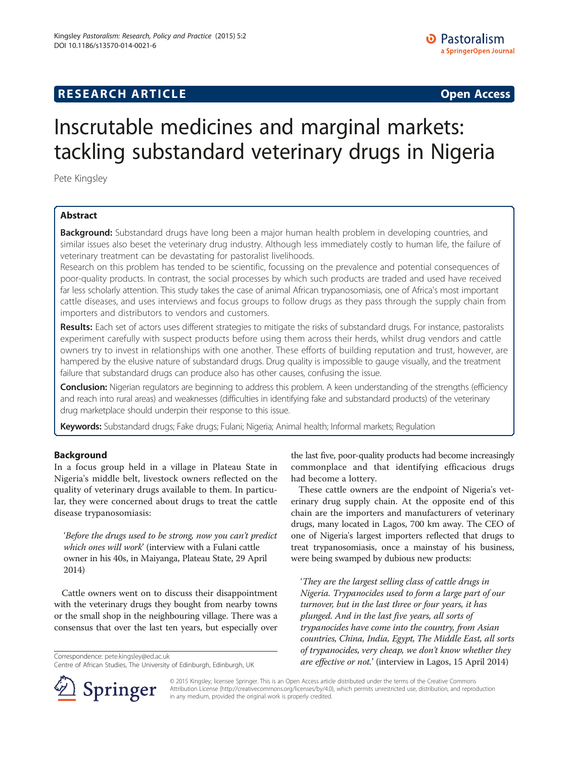# Inscrutable medicines and marginal markets: tackling substandard veterinary drugs in Nigeria

Pete Kingsley

# Abstract

Background: Substandard drugs have long been a major human health problem in developing countries, and similar issues also beset the veterinary drug industry. Although less immediately costly to human life, the failure of veterinary treatment can be devastating for pastoralist livelihoods.

Research on this problem has tended to be scientific, focussing on the prevalence and potential consequences of poor-quality products. In contrast, the social processes by which such products are traded and used have received far less scholarly attention. This study takes the case of animal African trypanosomiasis, one of Africa's most important cattle diseases, and uses interviews and focus groups to follow drugs as they pass through the supply chain from importers and distributors to vendors and customers.

Results: Each set of actors uses different strategies to mitigate the risks of substandard drugs. For instance, pastoralists experiment carefully with suspect products before using them across their herds, whilst drug vendors and cattle owners try to invest in relationships with one another. These efforts of building reputation and trust, however, are hampered by the elusive nature of substandard drugs. Drug quality is impossible to gauge visually, and the treatment failure that substandard drugs can produce also has other causes, confusing the issue.

Conclusion: Nigerian regulators are beginning to address this problem. A keen understanding of the strengths (efficiency and reach into rural areas) and weaknesses (difficulties in identifying fake and substandard products) of the veterinary drug marketplace should underpin their response to this issue.

Keywords: Substandard drugs; Fake drugs; Fulani; Nigeria; Animal health; Informal markets; Regulation

# Background

In a focus group held in a village in Plateau State in Nigeria's middle belt, livestock owners reflected on the quality of veterinary drugs available to them. In particular, they were concerned about drugs to treat the cattle disease trypanosomiasis:

'Before the drugs used to be strong, now you can't predict which ones will work' (interview with a Fulani cattle owner in his 40s, in Maiyanga, Plateau State, 29 April 2014)

Cattle owners went on to discuss their disappointment with the veterinary drugs they bought from nearby towns or the small shop in the neighbouring village. There was a consensus that over the last ten years, but especially over



These cattle owners are the endpoint of Nigeria's veterinary drug supply chain. At the opposite end of this chain are the importers and manufacturers of veterinary drugs, many located in Lagos, 700 km away. The CEO of one of Nigeria's largest importers reflected that drugs to treat trypanosomiasis, once a mainstay of his business, were being swamped by dubious new products:

'They are the largest selling class of cattle drugs in Nigeria. Trypanocides used to form a large part of our turnover, but in the last three or four years, it has plunged. And in the last five years, all sorts of trypanocides have come into the country, from Asian countries, China, India, Egypt, The Middle East, all sorts of trypanocides, very cheap, we don't know whether they Correspondence: [pete.kingsley@ed.ac.uk](mailto:pete.kingsley@ed.ac.uk)<br>Centre of African Studies The University of Ediphurgh Ediphurgh UK are effective or not.' (interview in Lagos, 15 April 2014)



© 2015 Kingsley; licensee Springer. This is an Open Access article distributed under the terms of the Creative Commons Attribution License [\(http://creativecommons.org/licenses/by/4.0\)](http://creativecommons.org/licenses/by/4.0), which permits unrestricted use, distribution, and reproduction in any medium, provided the original work is properly credited.

Centre of African Studies, The University of Edinburgh, Edinburgh, UK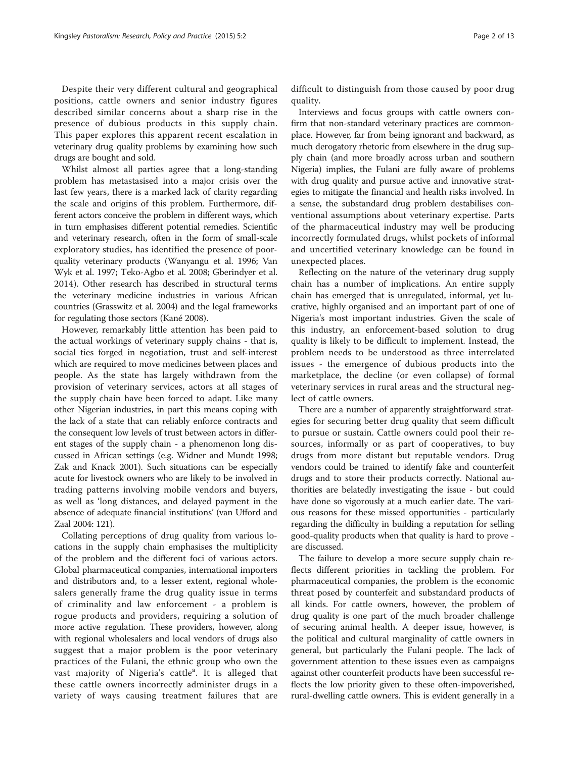Despite their very different cultural and geographical positions, cattle owners and senior industry figures described similar concerns about a sharp rise in the presence of dubious products in this supply chain. This paper explores this apparent recent escalation in veterinary drug quality problems by examining how such drugs are bought and sold.

Whilst almost all parties agree that a long-standing problem has metastasised into a major crisis over the last few years, there is a marked lack of clarity regarding the scale and origins of this problem. Furthermore, different actors conceive the problem in different ways, which in turn emphasises different potential remedies. Scientific and veterinary research, often in the form of small-scale exploratory studies, has identified the presence of poorquality veterinary products (Wanyangu et al. [1996](#page-12-0); Van Wyk et al. [1997;](#page-12-0) Teko-Agbo et al. [2008](#page-11-0); Gberindyer et al. [2014](#page-11-0)). Other research has described in structural terms the veterinary medicine industries in various African countries (Grasswitz et al. [2004](#page-11-0)) and the legal frameworks for regulating those sectors (Kané [2008\)](#page-11-0).

However, remarkably little attention has been paid to the actual workings of veterinary supply chains - that is, social ties forged in negotiation, trust and self-interest which are required to move medicines between places and people. As the state has largely withdrawn from the provision of veterinary services, actors at all stages of the supply chain have been forced to adapt. Like many other Nigerian industries, in part this means coping with the lack of a state that can reliably enforce contracts and the consequent low levels of trust between actors in different stages of the supply chain - a phenomenon long discussed in African settings (e.g. Widner and Mundt [1998](#page-12-0); Zak and Knack [2001](#page-12-0)). Such situations can be especially acute for livestock owners who are likely to be involved in trading patterns involving mobile vendors and buyers, as well as 'long distances, and delayed payment in the absence of adequate financial institutions' (van Ufford and Zaal [2004:](#page-12-0) 121).

Collating perceptions of drug quality from various locations in the supply chain emphasises the multiplicity of the problem and the different foci of various actors. Global pharmaceutical companies, international importers and distributors and, to a lesser extent, regional wholesalers generally frame the drug quality issue in terms of criminality and law enforcement - a problem is rogue products and providers, requiring a solution of more active regulation. These providers, however, along with regional wholesalers and local vendors of drugs also suggest that a major problem is the poor veterinary practices of the Fulani, the ethnic group who own the vast majority of Nigeria's cattle<sup>a</sup>. It is alleged that these cattle owners incorrectly administer drugs in a variety of ways causing treatment failures that are

difficult to distinguish from those caused by poor drug quality.

Interviews and focus groups with cattle owners confirm that non-standard veterinary practices are commonplace. However, far from being ignorant and backward, as much derogatory rhetoric from elsewhere in the drug supply chain (and more broadly across urban and southern Nigeria) implies, the Fulani are fully aware of problems with drug quality and pursue active and innovative strategies to mitigate the financial and health risks involved. In a sense, the substandard drug problem destabilises conventional assumptions about veterinary expertise. Parts of the pharmaceutical industry may well be producing incorrectly formulated drugs, whilst pockets of informal and uncertified veterinary knowledge can be found in unexpected places.

Reflecting on the nature of the veterinary drug supply chain has a number of implications. An entire supply chain has emerged that is unregulated, informal, yet lucrative, highly organised and an important part of one of Nigeria's most important industries. Given the scale of this industry, an enforcement-based solution to drug quality is likely to be difficult to implement. Instead, the problem needs to be understood as three interrelated issues - the emergence of dubious products into the marketplace, the decline (or even collapse) of formal veterinary services in rural areas and the structural neglect of cattle owners.

There are a number of apparently straightforward strategies for securing better drug quality that seem difficult to pursue or sustain. Cattle owners could pool their resources, informally or as part of cooperatives, to buy drugs from more distant but reputable vendors. Drug vendors could be trained to identify fake and counterfeit drugs and to store their products correctly. National authorities are belatedly investigating the issue - but could have done so vigorously at a much earlier date. The various reasons for these missed opportunities - particularly regarding the difficulty in building a reputation for selling good-quality products when that quality is hard to prove are discussed.

The failure to develop a more secure supply chain reflects different priorities in tackling the problem. For pharmaceutical companies, the problem is the economic threat posed by counterfeit and substandard products of all kinds. For cattle owners, however, the problem of drug quality is one part of the much broader challenge of securing animal health. A deeper issue, however, is the political and cultural marginality of cattle owners in general, but particularly the Fulani people. The lack of government attention to these issues even as campaigns against other counterfeit products have been successful reflects the low priority given to these often-impoverished, rural-dwelling cattle owners. This is evident generally in a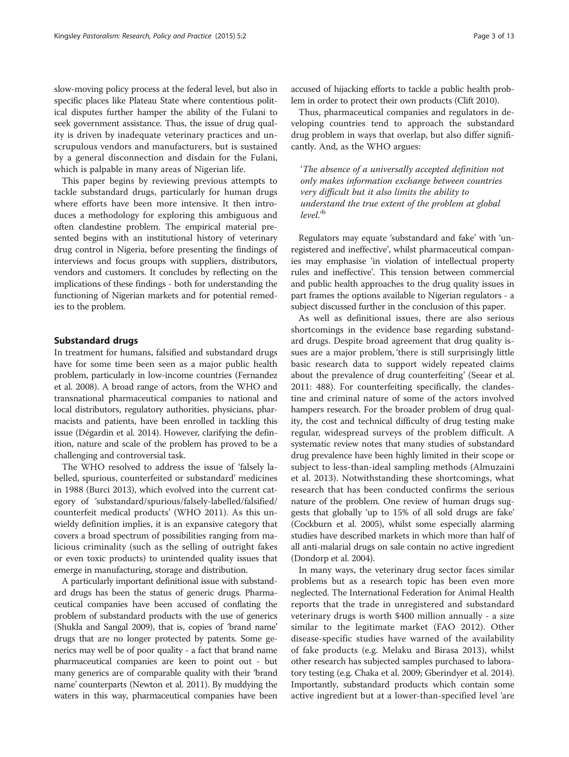slow-moving policy process at the federal level, but also in specific places like Plateau State where contentious political disputes further hamper the ability of the Fulani to seek government assistance. Thus, the issue of drug quality is driven by inadequate veterinary practices and unscrupulous vendors and manufacturers, but is sustained by a general disconnection and disdain for the Fulani, which is palpable in many areas of Nigerian life.

This paper begins by reviewing previous attempts to tackle substandard drugs, particularly for human drugs where efforts have been more intensive. It then introduces a methodology for exploring this ambiguous and often clandestine problem. The empirical material presented begins with an institutional history of veterinary drug control in Nigeria, before presenting the findings of interviews and focus groups with suppliers, distributors, vendors and customers. It concludes by reflecting on the implications of these findings - both for understanding the functioning of Nigerian markets and for potential remedies to the problem.

#### Substandard drugs

In treatment for humans, falsified and substandard drugs have for some time been seen as a major public health problem, particularly in low-income countries (Fernandez et al. [2008\)](#page-11-0). A broad range of actors, from the WHO and transnational pharmaceutical companies to national and local distributors, regulatory authorities, physicians, pharmacists and patients, have been enrolled in tackling this issue (Dégardin et al. [2014](#page-11-0)). However, clarifying the definition, nature and scale of the problem has proved to be a challenging and controversial task.

The WHO resolved to address the issue of 'falsely labelled, spurious, counterfeited or substandard' medicines in 1988 (Burci [2013\)](#page-11-0), which evolved into the current category of 'substandard/spurious/falsely-labelled/falsified/ counterfeit medical products' (WHO [2011\)](#page-12-0). As this unwieldy definition implies, it is an expansive category that covers a broad spectrum of possibilities ranging from malicious criminality (such as the selling of outright fakes or even toxic products) to unintended quality issues that emerge in manufacturing, storage and distribution.

A particularly important definitional issue with substandard drugs has been the status of generic drugs. Pharmaceutical companies have been accused of conflating the problem of substandard products with the use of generics (Shukla and Sangal [2009](#page-11-0)), that is, copies of 'brand name' drugs that are no longer protected by patents. Some generics may well be of poor quality - a fact that brand name pharmaceutical companies are keen to point out - but many generics are of comparable quality with their 'brand name' counterparts (Newton et al. [2011](#page-11-0)). By muddying the waters in this way, pharmaceutical companies have been

accused of hijacking efforts to tackle a public health problem in order to protect their own products (Clift [2010\)](#page-11-0).

Thus, pharmaceutical companies and regulators in developing countries tend to approach the substandard drug problem in ways that overlap, but also differ significantly. And, as the WHO argues:

'The absence of а universally accepted definition not only makes information exchange between countries very difficult but it also limits the ability to understand the true extent of the problem at global level.' b

Regulators may equate 'substandard and fake' with 'unregistered and ineffective', whilst pharmaceutical companies may emphasise 'in violation of intellectual property rules and ineffective'. This tension between commercial and public health approaches to the drug quality issues in part frames the options available to Nigerian regulators - a subject discussed further in the conclusion of this paper.

As well as definitional issues, there are also serious shortcomings in the evidence base regarding substandard drugs. Despite broad agreement that drug quality issues are a major problem, 'there is still surprisingly little basic research data to support widely repeated claims about the prevalence of drug counterfeiting' (Seear et al. [2011](#page-11-0): 488). For counterfeiting specifically, the clandestine and criminal nature of some of the actors involved hampers research. For the broader problem of drug quality, the cost and technical difficulty of drug testing make regular, widespread surveys of the problem difficult. A systematic review notes that many studies of substandard drug prevalence have been highly limited in their scope or subject to less-than-ideal sampling methods (Almuzaini et al. [2013\)](#page-11-0). Notwithstanding these shortcomings, what research that has been conducted confirms the serious nature of the problem. One review of human drugs suggests that globally 'up to 15% of all sold drugs are fake' (Cockburn et al. [2005](#page-11-0)), whilst some especially alarming studies have described markets in which more than half of all anti-malarial drugs on sale contain no active ingredient (Dondorp et al. [2004](#page-11-0)).

In many ways, the veterinary drug sector faces similar problems but as a research topic has been even more neglected. The International Federation for Animal Health reports that the trade in unregistered and substandard veterinary drugs is worth \$400 million annually - a size similar to the legitimate market (FAO [2012\)](#page-11-0). Other disease-specific studies have warned of the availability of fake products (e.g. Melaku and Birasa [2013](#page-11-0)), whilst other research has subjected samples purchased to laboratory testing (e.g. Chaka et al. [2009;](#page-11-0) Gberindyer et al. [2014](#page-11-0)). Importantly, substandard products which contain some active ingredient but at a lower-than-specified level 'are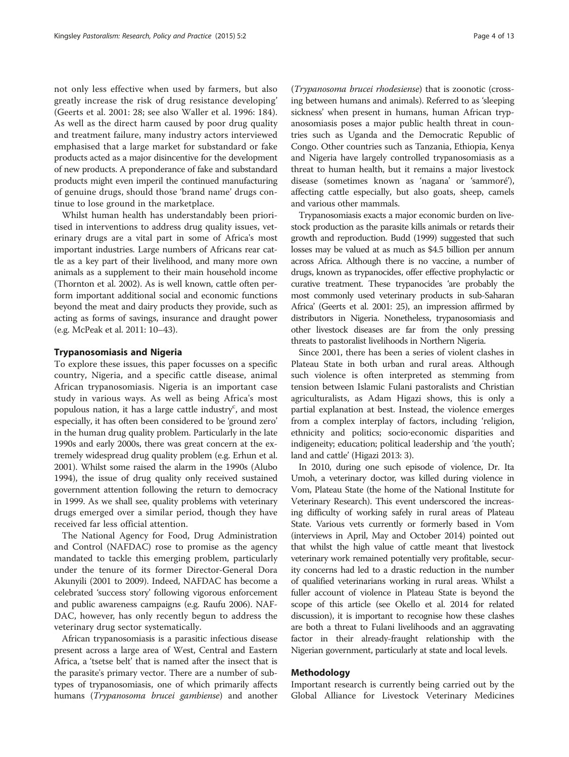not only less effective when used by farmers, but also greatly increase the risk of drug resistance developing' (Geerts et al. [2001:](#page-11-0) 28; see also Waller et al. [1996:](#page-12-0) 184). As well as the direct harm caused by poor drug quality and treatment failure, many industry actors interviewed emphasised that a large market for substandard or fake products acted as a major disincentive for the development of new products. A preponderance of fake and substandard products might even imperil the continued manufacturing of genuine drugs, should those 'brand name' drugs continue to lose ground in the marketplace.

Whilst human health has understandably been prioritised in interventions to address drug quality issues, veterinary drugs are a vital part in some of Africa's most important industries. Large numbers of Africans rear cattle as a key part of their livelihood, and many more own animals as a supplement to their main household income (Thornton et al. [2002](#page-11-0)). As is well known, cattle often perform important additional social and economic functions beyond the meat and dairy products they provide, such as acting as forms of savings, insurance and draught power (e.g. McPeak et al. [2011:](#page-11-0) 10–43).

#### Trypanosomiasis and Nigeria

To explore these issues, this paper focusses on a specific country, Nigeria, and a specific cattle disease, animal African trypanosomiasis. Nigeria is an important case study in various ways. As well as being Africa's most populous nation, it has a large cattle industry<sup>c</sup>, and most especially, it has often been considered to be 'ground zero' in the human drug quality problem. Particularly in the late 1990s and early 2000s, there was great concern at the extremely widespread drug quality problem (e.g. Erhun et al. [2001\)](#page-11-0). Whilst some raised the alarm in the 1990s (Alubo [1994\)](#page-11-0), the issue of drug quality only received sustained government attention following the return to democracy in 1999. As we shall see, quality problems with veterinary drugs emerged over a similar period, though they have received far less official attention.

The National Agency for Food, Drug Administration and Control (NAFDAC) rose to promise as the agency mandated to tackle this emerging problem, particularly under the tenure of its former Director-General Dora Akunyili (2001 to 2009). Indeed, NAFDAC has become a celebrated 'success story' following vigorous enforcement and public awareness campaigns (e.g. Raufu [2006\)](#page-11-0). NAF-DAC, however, has only recently begun to address the veterinary drug sector systematically.

African trypanosomiasis is a parasitic infectious disease present across a large area of West, Central and Eastern Africa, a 'tsetse belt' that is named after the insect that is the parasite's primary vector. There are a number of subtypes of trypanosomiasis, one of which primarily affects humans (Trypanosoma brucei gambiense) and another

(Trypanosoma brucei rhodesiense) that is zoonotic (crossing between humans and animals). Referred to as 'sleeping sickness' when present in humans, human African trypanosomiasis poses a major public health threat in countries such as Uganda and the Democratic Republic of Congo. Other countries such as Tanzania, Ethiopia, Kenya and Nigeria have largely controlled trypanosomiasis as a threat to human health, but it remains a major livestock disease (sometimes known as 'nagana' or 'sammoré'), affecting cattle especially, but also goats, sheep, camels and various other mammals.

Trypanosomiasis exacts a major economic burden on livestock production as the parasite kills animals or retards their growth and reproduction. Budd [\(1999\)](#page-11-0) suggested that such losses may be valued at as much as \$4.5 billion per annum across Africa. Although there is no vaccine, a number of drugs, known as trypanocides, offer effective prophylactic or curative treatment. These trypanocides 'are probably the most commonly used veterinary products in sub-Saharan Africa' (Geerts et al. [2001:](#page-11-0) 25), an impression affirmed by distributors in Nigeria. Nonetheless, trypanosomiasis and other livestock diseases are far from the only pressing threats to pastoralist livelihoods in Northern Nigeria.

Since 2001, there has been a series of violent clashes in Plateau State in both urban and rural areas. Although such violence is often interpreted as stemming from tension between Islamic Fulani pastoralists and Christian agriculturalists, as Adam Higazi shows, this is only a partial explanation at best. Instead, the violence emerges from a complex interplay of factors, including 'religion, ethnicity and politics; socio‐economic disparities and indigeneity; education; political leadership and 'the youth'; land and cattle' (Higazi [2013:](#page-11-0) 3).

In 2010, during one such episode of violence, Dr. Ita Umoh, a veterinary doctor, was killed during violence in Vom, Plateau State (the home of the National Institute for Veterinary Research). This event underscored the increasing difficulty of working safely in rural areas of Plateau State. Various vets currently or formerly based in Vom (interviews in April, May and October 2014) pointed out that whilst the high value of cattle meant that livestock veterinary work remained potentially very profitable, security concerns had led to a drastic reduction in the number of qualified veterinarians working in rural areas. Whilst a fuller account of violence in Plateau State is beyond the scope of this article (see Okello et al. [2014](#page-11-0) for related discussion), it is important to recognise how these clashes are both a threat to Fulani livelihoods and an aggravating factor in their already-fraught relationship with the Nigerian government, particularly at state and local levels.

#### Methodology

Important research is currently being carried out by the Global Alliance for Livestock Veterinary Medicines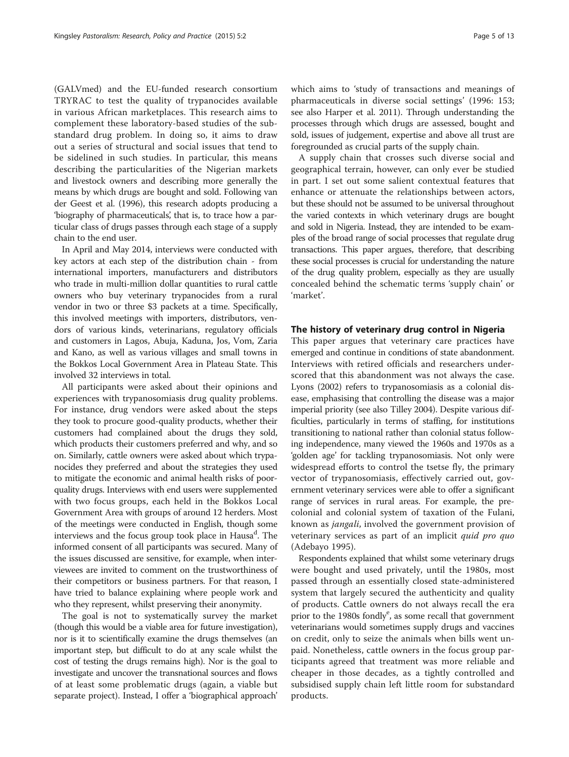(GALVmed) and the EU-funded research consortium TRYRAC to test the quality of trypanocides available in various African marketplaces. This research aims to complement these laboratory-based studies of the substandard drug problem. In doing so, it aims to draw out a series of structural and social issues that tend to be sidelined in such studies. In particular, this means describing the particularities of the Nigerian markets and livestock owners and describing more generally the means by which drugs are bought and sold. Following van der Geest et al. [\(1996](#page-12-0)), this research adopts producing a 'biography of pharmaceuticals', that is, to trace how a particular class of drugs passes through each stage of a supply chain to the end user.

In April and May 2014, interviews were conducted with key actors at each step of the distribution chain - from international importers, manufacturers and distributors who trade in multi-million dollar quantities to rural cattle owners who buy veterinary trypanocides from a rural vendor in two or three \$3 packets at a time. Specifically, this involved meetings with importers, distributors, vendors of various kinds, veterinarians, regulatory officials and customers in Lagos, Abuja, Kaduna, Jos, Vom, Zaria and Kano, as well as various villages and small towns in the Bokkos Local Government Area in Plateau State. This involved 32 interviews in total.

All participants were asked about their opinions and experiences with trypanosomiasis drug quality problems. For instance, drug vendors were asked about the steps they took to procure good-quality products, whether their customers had complained about the drugs they sold, which products their customers preferred and why, and so on. Similarly, cattle owners were asked about which trypanocides they preferred and about the strategies they used to mitigate the economic and animal health risks of poorquality drugs. Interviews with end users were supplemented with two focus groups, each held in the Bokkos Local Government Area with groups of around 12 herders. Most of the meetings were conducted in English, though some interviews and the focus group took place in Hausa<sup>d</sup>. The informed consent of all participants was secured. Many of the issues discussed are sensitive, for example, when interviewees are invited to comment on the trustworthiness of their competitors or business partners. For that reason, I have tried to balance explaining where people work and who they represent, whilst preserving their anonymity.

The goal is not to systematically survey the market (though this would be a viable area for future investigation), nor is it to scientifically examine the drugs themselves (an important step, but difficult to do at any scale whilst the cost of testing the drugs remains high). Nor is the goal to investigate and uncover the transnational sources and flows of at least some problematic drugs (again, a viable but separate project). Instead, I offer a 'biographical approach' which aims to 'study of transactions and meanings of pharmaceuticals in diverse social settings' (1996: 153; see also Harper et al. [2011](#page-11-0)). Through understanding the processes through which drugs are assessed, bought and sold, issues of judgement, expertise and above all trust are foregrounded as crucial parts of the supply chain.

A supply chain that crosses such diverse social and geographical terrain, however, can only ever be studied in part. I set out some salient contextual features that enhance or attenuate the relationships between actors, but these should not be assumed to be universal throughout the varied contexts in which veterinary drugs are bought and sold in Nigeria. Instead, they are intended to be examples of the broad range of social processes that regulate drug transactions. This paper argues, therefore, that describing these social processes is crucial for understanding the nature of the drug quality problem, especially as they are usually concealed behind the schematic terms 'supply chain' or 'market'.

#### The history of veterinary drug control in Nigeria

This paper argues that veterinary care practices have emerged and continue in conditions of state abandonment. Interviews with retired officials and researchers underscored that this abandonment was not always the case. Lyons ([2002\)](#page-11-0) refers to trypanosomiasis as a colonial disease, emphasising that controlling the disease was a major imperial priority (see also Tilley [2004\)](#page-12-0). Despite various difficulties, particularly in terms of staffing, for institutions transitioning to national rather than colonial status following independence, many viewed the 1960s and 1970s as a 'golden age' for tackling trypanosomiasis. Not only were widespread efforts to control the tsetse fly, the primary vector of trypanosomiasis, effectively carried out, government veterinary services were able to offer a significant range of services in rural areas. For example, the precolonial and colonial system of taxation of the Fulani, known as jangali, involved the government provision of veterinary services as part of an implicit quid pro quo (Adebayo [1995](#page-11-0)).

Respondents explained that whilst some veterinary drugs were bought and used privately, until the 1980s, most passed through an essentially closed state-administered system that largely secured the authenticity and quality of products. Cattle owners do not always recall the era prior to the 1980s fondly<sup>e</sup>, as some recall that government veterinarians would sometimes supply drugs and vaccines on credit, only to seize the animals when bills went unpaid. Nonetheless, cattle owners in the focus group participants agreed that treatment was more reliable and cheaper in those decades, as a tightly controlled and subsidised supply chain left little room for substandard products.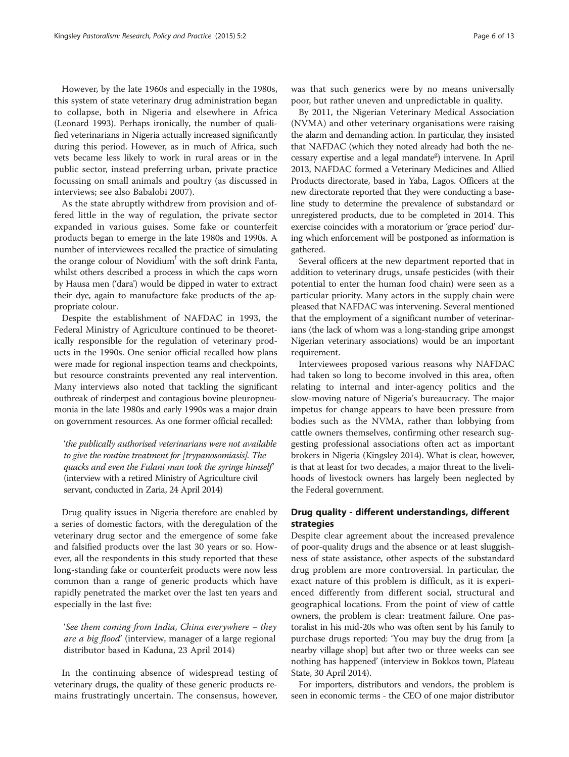However, by the late 1960s and especially in the 1980s, this system of state veterinary drug administration began to collapse, both in Nigeria and elsewhere in Africa (Leonard [1993](#page-11-0)). Perhaps ironically, the number of qualified veterinarians in Nigeria actually increased significantly during this period. However, as in much of Africa, such vets became less likely to work in rural areas or in the public sector, instead preferring urban, private practice focussing on small animals and poultry (as discussed in interviews; see also Babalobi [2007](#page-11-0)).

As the state abruptly withdrew from provision and offered little in the way of regulation, the private sector expanded in various guises. Some fake or counterfeit products began to emerge in the late 1980s and 1990s. A number of interviewees recalled the practice of simulating the orange colour of Novidium<sup>f</sup> with the soft drink Fanta, whilst others described a process in which the caps worn by Hausa men ('dara') would be dipped in water to extract their dye, again to manufacture fake products of the appropriate colour.

Despite the establishment of NAFDAC in 1993, the Federal Ministry of Agriculture continued to be theoretically responsible for the regulation of veterinary products in the 1990s. One senior official recalled how plans were made for regional inspection teams and checkpoints, but resource constraints prevented any real intervention. Many interviews also noted that tackling the significant outbreak of rinderpest and contagious bovine pleuropneumonia in the late 1980s and early 1990s was a major drain on government resources. As one former official recalled:

'the publically authorised veterinarians were not available to give the routine treatment for [trypanosomiasis]. The quacks and even the Fulani man took the syringe himself' (interview with a retired Ministry of Agriculture civil servant, conducted in Zaria, 24 April 2014)

Drug quality issues in Nigeria therefore are enabled by a series of domestic factors, with the deregulation of the veterinary drug sector and the emergence of some fake and falsified products over the last 30 years or so. However, all the respondents in this study reported that these long-standing fake or counterfeit products were now less common than a range of generic products which have rapidly penetrated the market over the last ten years and especially in the last five:

'See them coming from India, China everywhere – they are a big flood' (interview, manager of a large regional distributor based in Kaduna, 23 April 2014)

In the continuing absence of widespread testing of veterinary drugs, the quality of these generic products remains frustratingly uncertain. The consensus, however, was that such generics were by no means universally poor, but rather uneven and unpredictable in quality.

By 2011, the Nigerian Veterinary Medical Association (NVMA) and other veterinary organisations were raising the alarm and demanding action. In particular, they insisted that NAFDAC (which they noted already had both the necessary expertise and a legal mandate<sup>g</sup>) intervene. In April 2013, NAFDAC formed a Veterinary Medicines and Allied Products directorate, based in Yaba, Lagos. Officers at the new directorate reported that they were conducting a baseline study to determine the prevalence of substandard or unregistered products, due to be completed in 2014. This exercise coincides with a moratorium or 'grace period' during which enforcement will be postponed as information is gathered.

Several officers at the new department reported that in addition to veterinary drugs, unsafe pesticides (with their potential to enter the human food chain) were seen as a particular priority. Many actors in the supply chain were pleased that NAFDAC was intervening. Several mentioned that the employment of a significant number of veterinarians (the lack of whom was a long-standing gripe amongst Nigerian veterinary associations) would be an important requirement.

Interviewees proposed various reasons why NAFDAC had taken so long to become involved in this area, often relating to internal and inter-agency politics and the slow-moving nature of Nigeria's bureaucracy. The major impetus for change appears to have been pressure from bodies such as the NVMA, rather than lobbying from cattle owners themselves, confirming other research suggesting professional associations often act as important brokers in Nigeria (Kingsley [2014](#page-11-0)). What is clear, however, is that at least for two decades, a major threat to the livelihoods of livestock owners has largely been neglected by the Federal government.

## Drug quality - different understandings, different strategies

Despite clear agreement about the increased prevalence of poor-quality drugs and the absence or at least sluggishness of state assistance, other aspects of the substandard drug problem are more controversial. In particular, the exact nature of this problem is difficult, as it is experienced differently from different social, structural and geographical locations. From the point of view of cattle owners, the problem is clear: treatment failure. One pastoralist in his mid-20s who was often sent by his family to purchase drugs reported: 'You may buy the drug from [a nearby village shop] but after two or three weeks can see nothing has happened' (interview in Bokkos town, Plateau State, 30 April 2014).

For importers, distributors and vendors, the problem is seen in economic terms - the CEO of one major distributor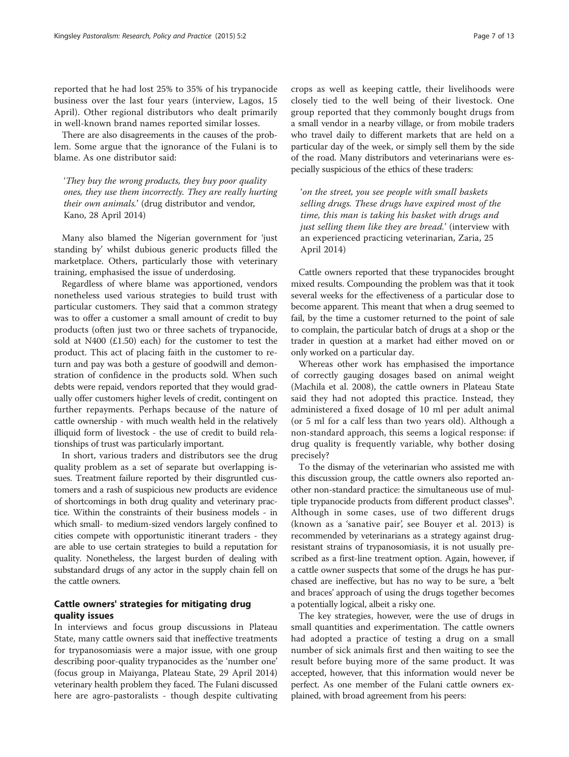reported that he had lost 25% to 35% of his trypanocide business over the last four years (interview, Lagos, 15 April). Other regional distributors who dealt primarily in well-known brand names reported similar losses.

There are also disagreements in the causes of the problem. Some argue that the ignorance of the Fulani is to blame. As one distributor said:

'They buy the wrong products, they buy poor quality ones, they use them incorrectly. They are really hurting their own animals.' (drug distributor and vendor, Kano, 28 April 2014)

Many also blamed the Nigerian government for 'just standing by' whilst dubious generic products filled the marketplace. Others, particularly those with veterinary training, emphasised the issue of underdosing.

Regardless of where blame was apportioned, vendors nonetheless used various strategies to build trust with particular customers. They said that a common strategy was to offer a customer a small amount of credit to buy products (often just two or three sachets of trypanocide, sold at N400  $(£1.50)$  each) for the customer to test the product. This act of placing faith in the customer to return and pay was both a gesture of goodwill and demonstration of confidence in the products sold. When such debts were repaid, vendors reported that they would gradually offer customers higher levels of credit, contingent on further repayments. Perhaps because of the nature of cattle ownership - with much wealth held in the relatively illiquid form of livestock - the use of credit to build relationships of trust was particularly important.

In short, various traders and distributors see the drug quality problem as a set of separate but overlapping issues. Treatment failure reported by their disgruntled customers and a rash of suspicious new products are evidence of shortcomings in both drug quality and veterinary practice. Within the constraints of their business models - in which small- to medium-sized vendors largely confined to cities compete with opportunistic itinerant traders - they are able to use certain strategies to build a reputation for quality. Nonetheless, the largest burden of dealing with substandard drugs of any actor in the supply chain fell on the cattle owners.

## Cattle owners' strategies for mitigating drug quality issues

In interviews and focus group discussions in Plateau State, many cattle owners said that ineffective treatments for trypanosomiasis were a major issue, with one group describing poor-quality trypanocides as the 'number one' (focus group in Maiyanga, Plateau State, 29 April 2014) veterinary health problem they faced. The Fulani discussed here are agro-pastoralists - though despite cultivating crops as well as keeping cattle, their livelihoods were closely tied to the well being of their livestock. One group reported that they commonly bought drugs from a small vendor in a nearby village, or from mobile traders who travel daily to different markets that are held on a particular day of the week, or simply sell them by the side of the road. Many distributors and veterinarians were especially suspicious of the ethics of these traders:

'on the street, you see people with small baskets selling drugs. These drugs have expired most of the time, this man is taking his basket with drugs and just selling them like they are bread.' (interview with an experienced practicing veterinarian, Zaria, 25 April 2014)

Cattle owners reported that these trypanocides brought mixed results. Compounding the problem was that it took several weeks for the effectiveness of a particular dose to become apparent. This meant that when a drug seemed to fail, by the time a customer returned to the point of sale to complain, the particular batch of drugs at a shop or the trader in question at a market had either moved on or only worked on a particular day.

Whereas other work has emphasised the importance of correctly gauging dosages based on animal weight (Machila et al. [2008](#page-11-0)), the cattle owners in Plateau State said they had not adopted this practice. Instead, they administered a fixed dosage of 10 ml per adult animal (or 5 ml for a calf less than two years old). Although a non-standard approach, this seems a logical response: if drug quality is frequently variable, why bother dosing precisely?

To the dismay of the veterinarian who assisted me with this discussion group, the cattle owners also reported another non-standard practice: the simultaneous use of multiple trypanocide products from different product classes<sup>h</sup>. Although in some cases, use of two different drugs (known as a 'sanative pair', see Bouyer et al. [2013](#page-11-0)) is recommended by veterinarians as a strategy against drugresistant strains of trypanosomiasis, it is not usually prescribed as a first-line treatment option. Again, however, if a cattle owner suspects that some of the drugs he has purchased are ineffective, but has no way to be sure, a 'belt and braces' approach of using the drugs together becomes a potentially logical, albeit a risky one.

The key strategies, however, were the use of drugs in small quantities and experimentation. The cattle owners had adopted a practice of testing a drug on a small number of sick animals first and then waiting to see the result before buying more of the same product. It was accepted, however, that this information would never be perfect. As one member of the Fulani cattle owners explained, with broad agreement from his peers: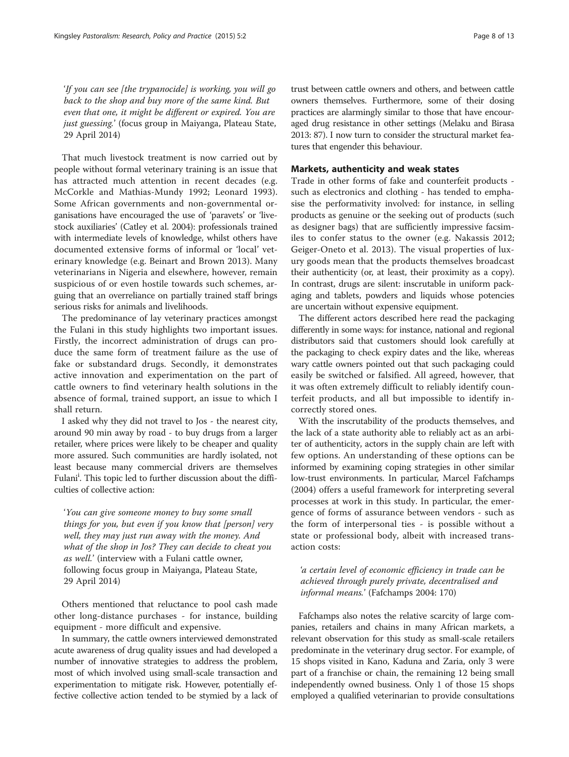'If you can see [the trypanocide] is working, you will go back to the shop and buy more of the same kind. But even that one, it might be different or expired. You are just guessing.' (focus group in Maiyanga, Plateau State, 29 April 2014)

That much livestock treatment is now carried out by people without formal veterinary training is an issue that has attracted much attention in recent decades (e.g. McCorkle and Mathias-Mundy [1992](#page-11-0); Leonard [1993](#page-11-0)). Some African governments and non-governmental organisations have encouraged the use of 'paravets' or 'livestock auxiliaries' (Catley et al. [2004](#page-11-0)): professionals trained with intermediate levels of knowledge, whilst others have documented extensive forms of informal or 'local' veterinary knowledge (e.g. Beinart and Brown [2013](#page-11-0)). Many veterinarians in Nigeria and elsewhere, however, remain suspicious of or even hostile towards such schemes, arguing that an overreliance on partially trained staff brings serious risks for animals and livelihoods.

The predominance of lay veterinary practices amongst the Fulani in this study highlights two important issues. Firstly, the incorrect administration of drugs can produce the same form of treatment failure as the use of fake or substandard drugs. Secondly, it demonstrates active innovation and experimentation on the part of cattle owners to find veterinary health solutions in the absence of formal, trained support, an issue to which I shall return.

I asked why they did not travel to Jos - the nearest city, around 90 min away by road - to buy drugs from a larger retailer, where prices were likely to be cheaper and quality more assured. Such communities are hardly isolated, not least because many commercial drivers are themselves Fulani<sup>i</sup>. This topic led to further discussion about the difficulties of collective action:

'You can give someone money to buy some small things for you, but even if you know that [person] very well, they may just run away with the money. And what of the shop in Jos? They can decide to cheat you as well.' (interview with a Fulani cattle owner, following focus group in Maiyanga, Plateau State, 29 April 2014)

Others mentioned that reluctance to pool cash made other long-distance purchases - for instance, building equipment - more difficult and expensive.

In summary, the cattle owners interviewed demonstrated acute awareness of drug quality issues and had developed a number of innovative strategies to address the problem, most of which involved using small-scale transaction and experimentation to mitigate risk. However, potentially effective collective action tended to be stymied by a lack of trust between cattle owners and others, and between cattle owners themselves. Furthermore, some of their dosing practices are alarmingly similar to those that have encouraged drug resistance in other settings (Melaku and Birasa [2013:](#page-11-0) 87). I now turn to consider the structural market features that engender this behaviour.

## Markets, authenticity and weak states

Trade in other forms of fake and counterfeit products such as electronics and clothing - has tended to emphasise the performativity involved: for instance, in selling products as genuine or the seeking out of products (such as designer bags) that are sufficiently impressive facsimiles to confer status to the owner (e.g. Nakassis [2012](#page-11-0); Geiger-Oneto et al. [2013](#page-11-0)). The visual properties of luxury goods mean that the products themselves broadcast their authenticity (or, at least, their proximity as a copy). In contrast, drugs are silent: inscrutable in uniform packaging and tablets, powders and liquids whose potencies are uncertain without expensive equipment.

The different actors described here read the packaging differently in some ways: for instance, national and regional distributors said that customers should look carefully at the packaging to check expiry dates and the like, whereas wary cattle owners pointed out that such packaging could easily be switched or falsified. All agreed, however, that it was often extremely difficult to reliably identify counterfeit products, and all but impossible to identify incorrectly stored ones.

With the inscrutability of the products themselves, and the lack of a state authority able to reliably act as an arbiter of authenticity, actors in the supply chain are left with few options. An understanding of these options can be informed by examining coping strategies in other similar low-trust environments. In particular, Marcel Fafchamps ([2004\)](#page-11-0) offers a useful framework for interpreting several processes at work in this study. In particular, the emergence of forms of assurance between vendors - such as the form of interpersonal ties - is possible without a state or professional body, albeit with increased transaction costs:

'a certain level of economic efficiency in trade can be achieved through purely private, decentralised and informal means.' (Fafchamps [2004:](#page-11-0) 170)

Fafchamps also notes the relative scarcity of large companies, retailers and chains in many African markets, a relevant observation for this study as small-scale retailers predominate in the veterinary drug sector. For example, of 15 shops visited in Kano, Kaduna and Zaria, only 3 were part of a franchise or chain, the remaining 12 being small independently owned business. Only 1 of those 15 shops employed a qualified veterinarian to provide consultations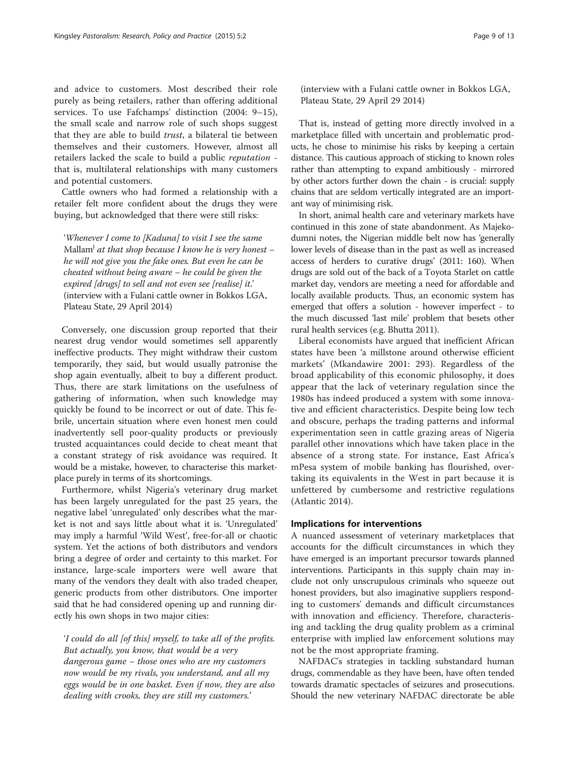and advice to customers. Most described their role purely as being retailers, rather than offering additional services. To use Fafchamps' distinction (2004: 9–15), the small scale and narrow role of such shops suggest that they are able to build *trust*, a bilateral tie between themselves and their customers. However, almost all retailers lacked the scale to build a public reputation that is, multilateral relationships with many customers and potential customers.

Cattle owners who had formed a relationship with a retailer felt more confident about the drugs they were buying, but acknowledged that there were still risks:

'Whenever I come to [Kaduna] to visit I see the same Mallam<sup>j</sup> at that shop because I know he is very honest – he will not give you the fake ones. But even he can be cheated without being aware – he could be given the expired [drugs] to sell and not even see [realise] it.' (interview with a Fulani cattle owner in Bokkos LGA, Plateau State, 29 April 2014)

Conversely, one discussion group reported that their nearest drug vendor would sometimes sell apparently ineffective products. They might withdraw their custom temporarily, they said, but would usually patronise the shop again eventually, albeit to buy a different product. Thus, there are stark limitations on the usefulness of gathering of information, when such knowledge may quickly be found to be incorrect or out of date. This febrile, uncertain situation where even honest men could inadvertently sell poor-quality products or previously trusted acquaintances could decide to cheat meant that a constant strategy of risk avoidance was required. It would be a mistake, however, to characterise this marketplace purely in terms of its shortcomings.

Furthermore, whilst Nigeria's veterinary drug market has been largely unregulated for the past 25 years, the negative label 'unregulated' only describes what the market is not and says little about what it is. 'Unregulated' may imply a harmful 'Wild West', free-for-all or chaotic system. Yet the actions of both distributors and vendors bring a degree of order and certainty to this market. For instance, large-scale importers were well aware that many of the vendors they dealt with also traded cheaper, generic products from other distributors. One importer said that he had considered opening up and running directly his own shops in two major cities:

'I could do all [of this] myself, to take all of the profits. But actually, you know, that would be a very dangerous game – those ones who are my customers now would be my rivals, you understand, and all my eggs would be in one basket. Even if now, they are also dealing with crooks, they are still my customers.'

(interview with a Fulani cattle owner in Bokkos LGA, Plateau State, 29 April 29 2014)

That is, instead of getting more directly involved in a marketplace filled with uncertain and problematic products, he chose to minimise his risks by keeping a certain distance. This cautious approach of sticking to known roles rather than attempting to expand ambitiously - mirrored by other actors further down the chain - is crucial: supply chains that are seldom vertically integrated are an important way of minimising risk.

In short, animal health care and veterinary markets have continued in this zone of state abandonment. As Majekodumni notes, the Nigerian middle belt now has 'generally lower levels of disease than in the past as well as increased access of herders to curative drugs' (2011: 160). When drugs are sold out of the back of a Toyota Starlet on cattle market day, vendors are meeting a need for affordable and locally available products. Thus, an economic system has emerged that offers a solution - however imperfect - to the much discussed 'last mile' problem that besets other rural health services (e.g. Bhutta [2011\)](#page-11-0).

Liberal economists have argued that inefficient African states have been 'a millstone around otherwise efficient markets' (Mkandawire [2001:](#page-11-0) 293). Regardless of the broad applicability of this economic philosophy, it does appear that the lack of veterinary regulation since the 1980s has indeed produced a system with some innovative and efficient characteristics. Despite being low tech and obscure, perhaps the trading patterns and informal experimentation seen in cattle grazing areas of Nigeria parallel other innovations which have taken place in the absence of a strong state. For instance, East Africa's mPesa system of mobile banking has flourished, overtaking its equivalents in the West in part because it is unfettered by cumbersome and restrictive regulations (Atlantic [2014](#page-11-0)).

#### Implications for interventions

A nuanced assessment of veterinary marketplaces that accounts for the difficult circumstances in which they have emerged is an important precursor towards planned interventions. Participants in this supply chain may include not only unscrupulous criminals who squeeze out honest providers, but also imaginative suppliers responding to customers' demands and difficult circumstances with innovation and efficiency. Therefore, characterising and tackling the drug quality problem as a criminal enterprise with implied law enforcement solutions may not be the most appropriate framing.

NAFDAC's strategies in tackling substandard human drugs, commendable as they have been, have often tended towards dramatic spectacles of seizures and prosecutions. Should the new veterinary NAFDAC directorate be able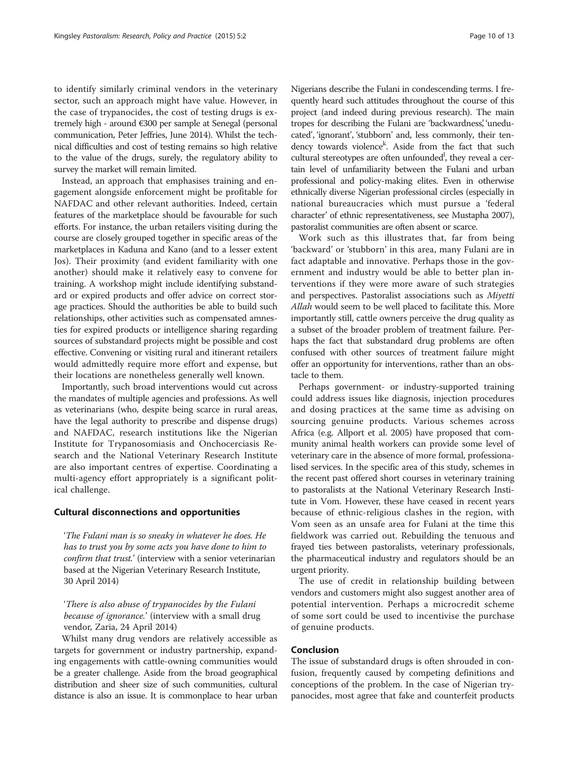to identify similarly criminal vendors in the veterinary sector, such an approach might have value. However, in the case of trypanocides, the cost of testing drugs is extremely high - around €300 per sample at Senegal (personal communication, Peter Jeffries, June 2014). Whilst the technical difficulties and cost of testing remains so high relative to the value of the drugs, surely, the regulatory ability to survey the market will remain limited.

Instead, an approach that emphasises training and engagement alongside enforcement might be profitable for NAFDAC and other relevant authorities. Indeed, certain features of the marketplace should be favourable for such efforts. For instance, the urban retailers visiting during the course are closely grouped together in specific areas of the marketplaces in Kaduna and Kano (and to a lesser extent Jos). Their proximity (and evident familiarity with one another) should make it relatively easy to convene for training. A workshop might include identifying substandard or expired products and offer advice on correct storage practices. Should the authorities be able to build such relationships, other activities such as compensated amnesties for expired products or intelligence sharing regarding sources of substandard projects might be possible and cost effective. Convening or visiting rural and itinerant retailers would admittedly require more effort and expense, but their locations are nonetheless generally well known.

Importantly, such broad interventions would cut across the mandates of multiple agencies and professions. As well as veterinarians (who, despite being scarce in rural areas, have the legal authority to prescribe and dispense drugs) and NAFDAC, research institutions like the Nigerian Institute for Trypanosomiasis and Onchocerciasis Research and the National Veterinary Research Institute are also important centres of expertise. Coordinating a multi-agency effort appropriately is a significant political challenge.

#### Cultural disconnections and opportunities

'The Fulani man is so sneaky in whatever he does. He has to trust you by some acts you have done to him to confirm that trust.' (interview with a senior veterinarian based at the Nigerian Veterinary Research Institute, 30 April 2014)

'There is also abuse of trypanocides by the Fulani because of ignorance.' (interview with a small drug vendor, Zaria, 24 April 2014)

Whilst many drug vendors are relatively accessible as targets for government or industry partnership, expanding engagements with cattle-owning communities would be a greater challenge. Aside from the broad geographical distribution and sheer size of such communities, cultural distance is also an issue. It is commonplace to hear urban Nigerians describe the Fulani in condescending terms. I frequently heard such attitudes throughout the course of this project (and indeed during previous research). The main tropes for describing the Fulani are 'backwardness,' 'uneducated', 'ignorant', 'stubborn' and, less commonly, their tendency towards violence<sup>k</sup>. Aside from the fact that such cultural stereotypes are often unfounded<sup>1</sup>, they reveal a certain level of unfamiliarity between the Fulani and urban professional and policy-making elites. Even in otherwise ethnically diverse Nigerian professional circles (especially in national bureaucracies which must pursue a 'federal character' of ethnic representativeness, see Mustapha [2007](#page-11-0)), pastoralist communities are often absent or scarce.

Work such as this illustrates that, far from being 'backward' or 'stubborn' in this area, many Fulani are in fact adaptable and innovative. Perhaps those in the government and industry would be able to better plan interventions if they were more aware of such strategies and perspectives. Pastoralist associations such as Miyetti Allah would seem to be well placed to facilitate this. More importantly still, cattle owners perceive the drug quality as a subset of the broader problem of treatment failure. Perhaps the fact that substandard drug problems are often confused with other sources of treatment failure might offer an opportunity for interventions, rather than an obstacle to them.

Perhaps government- or industry-supported training could address issues like diagnosis, injection procedures and dosing practices at the same time as advising on sourcing genuine products. Various schemes across Africa (e.g. Allport et al. [2005](#page-11-0)) have proposed that community animal health workers can provide some level of veterinary care in the absence of more formal, professionalised services. In the specific area of this study, schemes in the recent past offered short courses in veterinary training to pastoralists at the National Veterinary Research Institute in Vom. However, these have ceased in recent years because of ethnic-religious clashes in the region, with Vom seen as an unsafe area for Fulani at the time this fieldwork was carried out. Rebuilding the tenuous and frayed ties between pastoralists, veterinary professionals, the pharmaceutical industry and regulators should be an urgent priority.

The use of credit in relationship building between vendors and customers might also suggest another area of potential intervention. Perhaps a microcredit scheme of some sort could be used to incentivise the purchase of genuine products.

## Conclusion

The issue of substandard drugs is often shrouded in confusion, frequently caused by competing definitions and conceptions of the problem. In the case of Nigerian trypanocides, most agree that fake and counterfeit products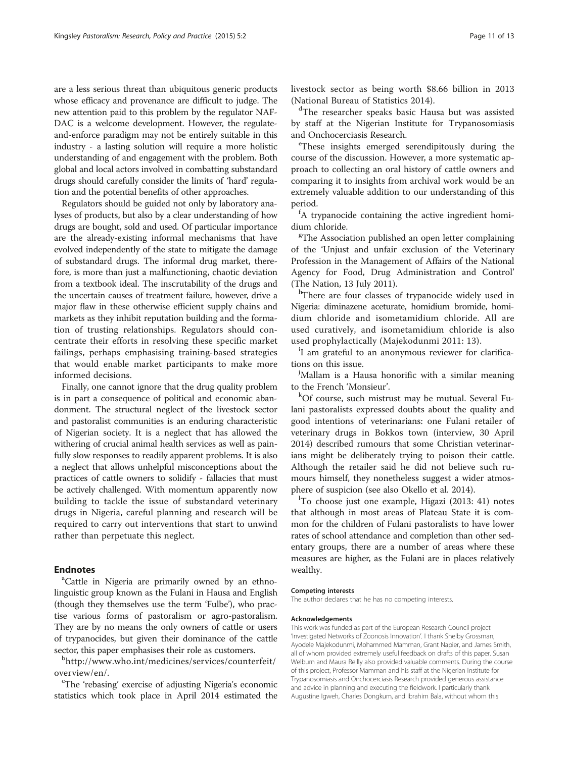are a less serious threat than ubiquitous generic products whose efficacy and provenance are difficult to judge. The new attention paid to this problem by the regulator NAF-DAC is a welcome development. However, the regulateand-enforce paradigm may not be entirely suitable in this industry - a lasting solution will require a more holistic understanding of and engagement with the problem. Both global and local actors involved in combatting substandard drugs should carefully consider the limits of 'hard' regulation and the potential benefits of other approaches.

Regulators should be guided not only by laboratory analyses of products, but also by a clear understanding of how drugs are bought, sold and used. Of particular importance are the already-existing informal mechanisms that have evolved independently of the state to mitigate the damage of substandard drugs. The informal drug market, therefore, is more than just a malfunctioning, chaotic deviation from a textbook ideal. The inscrutability of the drugs and the uncertain causes of treatment failure, however, drive a major flaw in these otherwise efficient supply chains and markets as they inhibit reputation building and the formation of trusting relationships. Regulators should concentrate their efforts in resolving these specific market failings, perhaps emphasising training-based strategies that would enable market participants to make more informed decisions.

Finally, one cannot ignore that the drug quality problem is in part a consequence of political and economic abandonment. The structural neglect of the livestock sector and pastoralist communities is an enduring characteristic of Nigerian society. It is a neglect that has allowed the withering of crucial animal health services as well as painfully slow responses to readily apparent problems. It is also a neglect that allows unhelpful misconceptions about the practices of cattle owners to solidify - fallacies that must be actively challenged. With momentum apparently now building to tackle the issue of substandard veterinary drugs in Nigeria, careful planning and research will be required to carry out interventions that start to unwind rather than perpetuate this neglect.

## **Endnotes**

<sup>a</sup>Cattle in Nigeria are primarily owned by an ethnolinguistic group known as the Fulani in Hausa and English (though they themselves use the term 'Fulbe'), who practise various forms of pastoralism or agro-pastoralism. They are by no means the only owners of cattle or users of trypanocides, but given their dominance of the cattle sector, this paper emphasises their role as customers.

b [http://www.who.int/medicines/services/counterfeit/](http://www.who.int/medicines/services/counterfeit/overview/en/) [overview/en/](http://www.who.int/medicines/services/counterfeit/overview/en/).

The 'rebasing' exercise of adjusting Nigeria's economic statistics which took place in April 2014 estimated the livestock sector as being worth \$8.66 billion in 2013 (National Bureau of Statistics [2014](#page-11-0)).

d The researcher speaks basic Hausa but was assisted by staff at the Nigerian Institute for Trypanosomiasis and Onchocerciasis Research.

These insights emerged serendipitously during the course of the discussion. However, a more systematic approach to collecting an oral history of cattle owners and comparing it to insights from archival work would be an extremely valuable addition to our understanding of this period.

f A trypanocide containing the active ingredient homidium chloride.

<sup>g</sup>The Association published an open letter complaining of the 'Unjust and unfair exclusion of the Veterinary Profession in the Management of Affairs of the National Agency for Food, Drug Administration and Control' (The Nation, 13 July 2011).

<sup>h</sup>There are four classes of trypanocide widely used in Nigeria: diminazene aceturate, homidium bromide, homidium chloride and isometamidium chloride. All are used curatively, and isometamidium chloride is also used prophylactically (Majekodunmi [2011](#page-11-0): 13).

<sup>I</sup>I am grateful to an anonymous reviewer for clarifications on this issue.

<sup>j</sup>Mallam is a Hausa honorific with a similar meaning to the French 'Monsieur'.

<sup>k</sup>Of course, such mistrust may be mutual. Several Fulani pastoralists expressed doubts about the quality and good intentions of veterinarians: one Fulani retailer of veterinary drugs in Bokkos town (interview, 30 April 2014) described rumours that some Christian veterinarians might be deliberately trying to poison their cattle. Although the retailer said he did not believe such rumours himself, they nonetheless suggest a wider atmosphere of suspicion (see also Okello et al. [2014](#page-11-0)).

<sup>1</sup>To choose just one example, Higazi ([2013](#page-11-0): 41) notes that although in most areas of Plateau State it is common for the children of Fulani pastoralists to have lower rates of school attendance and completion than other sedentary groups, there are a number of areas where these measures are higher, as the Fulani are in places relatively wealthy.

#### Competing interests

The author declares that he has no competing interests.

#### Acknowledgements

This work was funded as part of the European Research Council project 'Investigated Networks of Zoonosis Innovation'. I thank Shelby Grossman, Ayodele Majekodunmi, Mohammed Mamman, Grant Napier, and James Smith, all of whom provided extremely useful feedback on drafts of this paper. Susan Welburn and Maura Reilly also provided valuable comments. During the course of this project, Professor Mamman and his staff at the Nigerian Institute for Trypanosomiasis and Onchocerciasis Research provided generous assistance and advice in planning and executing the fieldwork. I particularly thank Augustine Igweh, Charles Dongkum, and Ibrahim Bala, without whom this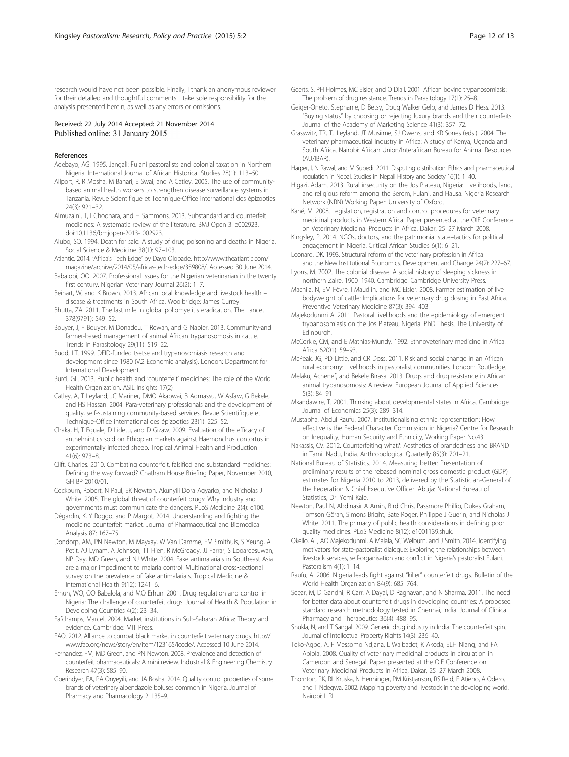<span id="page-11-0"></span>research would have not been possible. Finally, I thank an anonymous reviewer for their detailed and thoughtful comments. I take sole responsibility for the analysis presented herein, as well as any errors or omissions.

#### Received: 22 July 2014 Accepted: 21 November 2014 Published online: 31 January 2015

#### References

- Adebayo, AG. 1995. Jangali: Fulani pastoralists and colonial taxation in Northern Nigeria. International Journal of African Historical Studies 28(1): 113–50.
- Allport, R, R Mosha, M Bahari, E Swai, and A Catley. 2005. The use of communitybased animal health workers to strengthen disease surveillance systems in Tanzania. Revue Scientifique et Technique-Office international des épizooties 24(3): 921–32.
- Almuzaini, T, I Choonara, and H Sammons. 2013. Substandard and counterfeit medicines: A systematic review of the literature. BMJ Open 3: e002923. doi:10.1136/bmjopen-2013- 002923.
- Alubo, SO. 1994. Death for sale: A study of drug poisoning and deaths in Nigeria. Social Science & Medicine 38(1): 97–103.
- Atlantic. 2014. 'Africa's Tech Edge' by Dayo Olopade. http://www.theatlantic.com/ magazine/archive/2014/05/africas-tech-edge/359808/. Accessed 30 June 2014.
- Babalobi, OO. 2007. Professional issues for the Nigerian veterinarian in the twenty first century. Nigerian Veterinary Journal 26(2): 1–7.
- Beinart, W, and K Brown. 2013. African local knowledge and livestock health disease & treatments in South Africa. Woolbridge: James Currey.
- Bhutta, ZA. 2011. The last mile in global poliomyelitis eradication. The Lancet 378(9791): 549–52.
- Bouyer, J, F Bouyer, M Donadeu, T Rowan, and G Napier. 2013. Community-and farmer-based management of animal African trypanosomosis in cattle. Trends in Parasitology 29(11): 519–22.
- Budd, LT. 1999. DFID-funded tsetse and trypanosomiasis research and development since 1980 (V.2 Economic analysis). London: Department for International Development.
- Burci, GL. 2013. Public health and 'counterfeit' medicines: The role of the World Health Organization. ASIL Insights 17(2)
- Catley, A, T Leyland, JC Mariner, DMO Akabwai, B Admassu, W Asfaw, G Bekele, and HS Hassan. 2004. Para-veterinary professionals and the development of quality, self-sustaining community-based services. Revue Scientifique et Technique-Office international des épizooties 23(1): 225–52.
- Chaka, H, T Eguale, D Lidetu, and D Gizaw. 2009. Evaluation of the efficacy of anthelmintics sold on Ethiopian markets against Haemonchus contortus in experimentally infected sheep. Tropical Animal Health and Production 41(6): 973–8.
- Clift, Charles. 2010. Combating counterfeit, falsified and substandard medicines: Defining the way forward? Chatham House Briefing Paper, November 2010, GH BP 2010/01.
- Cockburn, Robert, N Paul, EK Newton, Akunyili Dora Agyarko, and Nicholas J White. 2005. The global threat of counterfeit drugs: Why industry and governments must communicate the dangers. PLoS Medicine 2(4): e100.
- Dégardin, K, Y Roggo, and P Margot. 2014. Understanding and fighting the medicine counterfeit market. Journal of Pharmaceutical and Biomedical Analysis 87: 167–75.
- Dondorp, AM, PN Newton, M Mayxay, W Van Damme, FM Smithuis, S Yeung, A Petit, AJ Lynam, A Johnson, TT Hien, R McGready, JJ Farrar, S Looareesuwan, NP Day, MD Green, and NJ White. 2004. Fake antimalarials in Southeast Asia are a major impediment to malaria control: Multinational cross-sectional survey on the prevalence of fake antimalarials. Tropical Medicine & International Health 9(12): 1241–6.
- Erhun, WO, OO Babalola, and MO Erhun. 2001. Drug regulation and control in Nigeria: The challenge of counterfeit drugs. Journal of Health & Population in Developing Countries 4(2): 23–34.
- Fafchamps, Marcel. 2004. Market institutions in Sub-Saharan Africa: Theory and evidence. Cambridge: MIT Press.
- FAO. 2012. Alliance to combat black market in counterfeit veterinary drugs. http:// www.fao.org/news/story/en/item/123165/icode/. Accessed 10 June 2014.
- Fernandez, FM, MD Green, and PN Newton. 2008. Prevalence and detection of counterfeit pharmaceuticals: A mini review. Industrial & Engineering Chemistry Research 47(3): 585–90.
- Gberindyer, FA, PA Onyeyili, and JA Bosha. 2014. Quality control properties of some brands of veterinary albendazole boluses common in Nigeria. Journal of Pharmacy and Pharmacology 2: 135–9.

Geerts, S, PH Holmes, MC Eisler, and O Diall. 2001. African bovine trypanosomiasis: The problem of drug resistance. Trends in Parasitology 17(1): 25–8.

- Geiger-Oneto, Stephanie, D Betsy, Doug Walker Gelb, and James D Hess. 2013. "Buying status" by choosing or rejecting luxury brands and their counterfeits. Journal of the Academy of Marketing Science 41(3): 357–72.
- Grasswitz, TR, TJ Leyland, JT Musiime, SJ Owens, and KR Sones (eds.). 2004. The veterinary pharmaceutical industry in Africa: A study of Kenya, Uganda and South Africa. Nairobi: African Union/Interafrican Bureau for Animal Resources (AU/IBAR).
- Harper, I, N Rawal, and M Subedi. 2011. Disputing distribution: Ethics and pharmaceutical regulation in Nepal. Studies in Nepali History and Society 16(1): 1–40.
- Higazi, Adam. 2013. Rural insecurity on the Jos Plateau, Nigeria: Livelihoods, land, and religious reform among the Berom, Fulani, and Hausa. Nigeria Research Network (NRN) Working Paper: University of Oxford.

Kané, M. 2008. Legislation, registration and control procedures for veterinary medicinal products in Western Africa. Paper presented at the OIE Conference on Veterinary Medicinal Products in Africa, Dakar, 25–27 March 2008.

- Kingsley, P. 2014. NGOs, doctors, and the patrimonial state–tactics for political engagement in Nigeria. Critical African Studies 6(1): 6–21.
- Leonard, DK. 1993. Structural reform of the veterinary profession in Africa and the New Institutional Economics. Development and Change 24(2): 227–67.
- Lyons, M. 2002. The colonial disease: A social history of sleeping sickness in northern Zaire, 1900–1940. Cambridge: Cambridge University Press.
- Machila, N, EM Fèvre, I Maudlin, and MC Eisler. 2008. Farmer estimation of live bodyweight of cattle: Implications for veterinary drug dosing in East Africa. Preventive Veterinary Medicine 87(3): 394–403.
- Majekodunmi A. 2011. Pastoral livelihoods and the epidemiology of emergent trypanosomiasis on the Jos Plateau, Nigeria. PhD Thesis. The University of Edinburgh.
- McCorkle, CM, and E Mathias-Mundy. 1992. Ethnoveterinary medicine in Africa. Africa 62(01): 59–93.
- McPeak, JG, PD Little, and CR Doss. 2011. Risk and social change in an African rural economy: Livelihoods in pastoralist communities. London: Routledge.
- Melaku, Achenef, and Bekele Birasa. 2013. Drugs and drug resistance in African animal trypanosomosis: A review. European Journal of Applied Sciences 5(3): 84–91.
- Mkandawire, T. 2001. Thinking about developmental states in Africa. Cambridge Journal of Economics 25(3): 289–314.
- Mustapha, Abdul Raufu. 2007. Institutionalising ethnic representation: How effective is the Federal Character Commission in Nigeria? Centre for Research on Inequality, Human Security and Ethnicity, Working Paper No.43.
- Nakassis, CV. 2012. Counterfeiting what?: Aesthetics of brandedness and BRAND in Tamil Nadu, India. Anthropological Quarterly 85(3): 701–21.
- National Bureau of Statistics. 2014. Measuring better: Presentation of preliminary results of the rebased nominal gross domestic product (GDP) estimates for Nigeria 2010 to 2013, delivered by the Statistician-General of the Federation & Chief Executive Officer. Abuja: National Bureau of Statistics, Dr. Yemi Kale.
- Newton, Paul N, Abdinasir A Amin, Bird Chris, Passmore Phillip, Dukes Graham, Tomson Göran, Simons Bright, Bate Roger, Philippe J Guerin, and Nicholas J White. 2011. The primacy of public health considerations in defining poor quality medicines. PLoS Medicine 8(12): e1001139.shuk.
- Okello, AL, AO Majekodunmi, A Malala, SC Welburn, and J Smith. 2014. Identifying motivators for state-pastoralist dialogue: Exploring the relationships between livestock services, self-organisation and conflict in Nigeria's pastoralist Fulani. Pastoralism 4(1): 1–14.
- Raufu, A. 2006. Nigeria leads fight against "killer" counterfeit drugs. Bulletin of the World Health Organization 84(9): 685–764.
- Seear, M, D Gandhi, R Carr, A Dayal, D Raghavan, and N Sharma. 2011. The need for better data about counterfeit drugs in developing countries: A proposed standard research methodology tested in Chennai, India. Journal of Clinical Pharmacy and Therapeutics 36(4): 488–95.
- Shukla, N, and T Sangal. 2009. Generic drug industry in India: The counterfeit spin. Journal of Intellectual Property Rights 14(3): 236–40.
- Teko-Agbo, A, F Messomo Ndjana, L Walbadet, K Akoda, ELH Niang, and FA Abiola. 2008. Quality of veterinary medicinal products in circulation in Cameroon and Senegal. Paper presented at the OIE Conference on Veterinary Medicinal Products in Africa, Dakar, 25–27 March 2008.
- Thornton, PK, RL Kruska, N Henninger, PM Kristjanson, RS Reid, F Atieno, A Odero, and T Ndegwa. 2002. Mapping poverty and livestock in the developing world. Nairobi: ILRI.